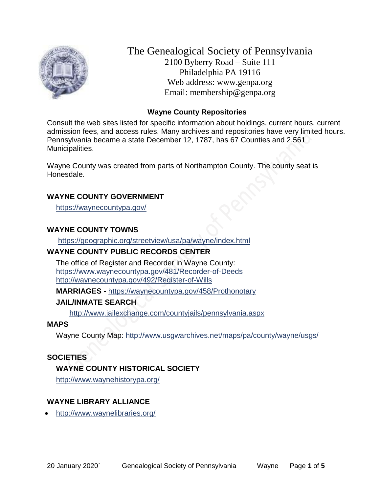

The Genealogical Society of Pennsylvania 2100 Byberry Road – Suite 111 Philadelphia PA 19116 Web address: www.genpa.org Email: membership@genpa.org

#### **Wayne County Repositories**

Consult the web sites listed for specific information about holdings, current hours, current admission fees, and access rules. Many archives and repositories have very limited hours. Pennsylvania became a state December 12, 1787, has 67 Counties and 2,561 Municipalities.

Wayne County was created from parts of Northampton County. The county seat is Honesdale.

#### **WAYNE COUNTY GOVERNMENT**

<https://waynecountypa.gov/>

# **WAYNE COUNTY TOWNS**

<https://geographic.org/streetview/usa/pa/wayne/index.html>

# **WAYNE COUNTY PUBLIC RECORDS CENTER**

The office of Register and Recorder in Wayne County: <https://www.waynecountypa.gov/481/Recorder-of-Deeds> <http://waynecountypa.gov/492/Register-of-Wills>

**MARRIAGES -** <https://waynecountypa.gov/458/Prothonotary>

# **JAIL/INMATE SEARCH**

<http://www.jailexchange.com/countyjails/pennsylvania.aspx>

# **MAPS**

Wayne County Map:<http://www.usgwarchives.net/maps/pa/county/wayne/usgs/>

# **SOCIETIES**

# **WAYNE COUNTY HISTORICAL SOCIETY**

<http://www.waynehistorypa.org/>

# **WAYNE LIBRARY ALLIANCE**

<http://www.waynelibraries.org/>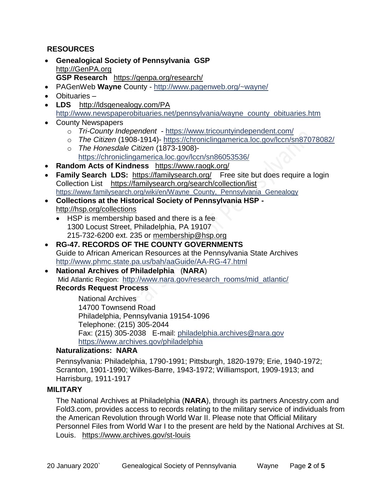# **RESOURCES**

- **Genealogical Society of Pennsylvania GSP** [http://GenPA.org](http://genpa.org/) **GSP Research** <https://genpa.org/research/>
- PAGenWeb **Wayne** County <http://www.pagenweb.org/~wayne/>
- Obituaries –
- LDS <http://ldsgenealogy.com/PA> [http://www.newspaperobituaries.net/pennsylvania/wayne\\_county\\_obituaries.htm](http://www.newspaperobituaries.net/pennsylvania/wayne_county_obituaries.htm)
- County Newspapers
	- o *Tri-County Independent*  <https://www.tricountyindependent.com/>
	- o *The Citizen* (1908-1914)- <https://chroniclingamerica.loc.gov/lccn/sn87078082/>
	- o *The Honesdale Citizen* (1873-1908) <https://chroniclingamerica.loc.gov/lccn/sn86053536/>
- **Random Acts of Kindness** <https://www.raogk.org/>
- **Family Search LDS:** <https://familysearch.org/>Free site but does require a login Collection List <https://familysearch.org/search/collection/list> [https://www.familysearch.org/wiki/en/Wayne\\_County,\\_Pennsylvania\\_Genealogy](https://www.familysearch.org/wiki/en/Wayne_County,_Pennsylvania_Genealogy)
- **Collections at the Historical Society of Pennsylvania HSP**  <http://hsp.org/collections>
	- HSP is membership based and there is a fee 1300 Locust Street, Philadelphia, PA 19107 215-732-6200 ext. 235 or [membership@hsp.org](mailto:membership@hsp.org)
- **RG-47. RECORDS OF THE COUNTY GOVERNMENTS** Guide to African American Resources at the Pennsylvania State Archives <http://www.phmc.state.pa.us/bah/aaGuide/AA-RG-47.html>
- **National Archives of Philadelphia** (**NARA**) Mid Atlantic Region: [http://www.nara.gov/research\\_rooms/mid\\_atlantic/](http://www.nara.gov/research_rooms/mid_atlantic/) **Records Request Process**

National Archives 14700 Townsend Road Philadelphia, Pennsylvania 19154-1096 Telephone: (215) 305-2044 Fax: (215) 305-2038 E-mail: [philadelphia.archives@nara.gov](mailto:philadelphia.archives@nara.gov) <https://www.archives.gov/philadelphia>

# **Naturalizations: NARA**

Pennsylvania: Philadelphia, 1790-1991; Pittsburgh, 1820-1979; Erie, 1940-1972; Scranton, 1901-1990; Wilkes-Barre, 1943-1972; Williamsport, 1909-1913; and Harrisburg, 1911-1917

# **MILITARY**

The National Archives at Philadelphia (**NARA**), through its partners Ancestry.com and Fold3.com, provides access to records relating to the military service of individuals from the American Revolution through World War II. Please note that Official Military Personnel Files from World War I to the present are held by the National Archives at St. Louis. <https://www.archives.gov/st-louis>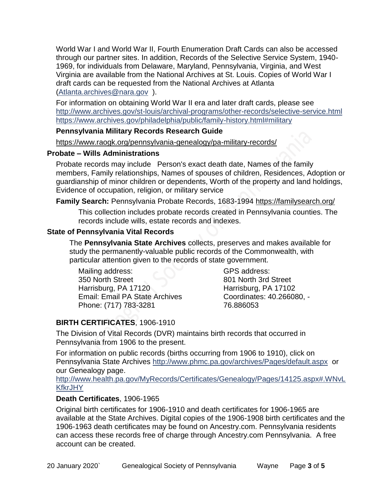World War I and World War II, Fourth Enumeration Draft Cards can also be accessed through our partner sites. In addition, Records of the Selective Service System, 1940- 1969, for individuals from Delaware, Maryland, Pennsylvania, Virginia, and West Virginia are available from the National Archives at St. Louis. Copies of World War I draft cards can be requested from the National Archives at Atlanta [\(Atlanta.archives@nara.gov](mailto:Atlanta.archives@nara.gov) ).

For information on obtaining World War II era and later draft cards, please see <http://www.archives.gov/st-louis/archival-programs/other-records/selective-service.html> <https://www.archives.gov/philadelphia/public/family-history.html#military>

#### **Pennsylvania Military Records Research Guide**

<https://www.raogk.org/pennsylvania-genealogy/pa-military-records/>

#### **Probate – Wills Administrations**

Probate records may include Person's exact death date, Names of the family members, Family relationships, Names of spouses of children, Residences, Adoption or guardianship of minor children or dependents, Worth of the property and land holdings, Evidence of occupation, religion, or military service

# **Family Search:** Pennsylvania Probate Records, 1683-1994 <https://familysearch.org/>

This collection includes probate records created in Pennsylvania counties. The records include wills, estate records and indexes.

# **State of Pennsylvania Vital Records**

The **Pennsylvania State Archives** collects, preserves and makes available for study the permanently-valuable public records of the Commonwealth, with particular attention given to the records of state government.

Mailing address: 350 North Street Harrisburg, PA 17120 Email: Email PA State Archives Phone: (717) 783-3281

GPS address: 801 North 3rd Street Harrisburg, PA 17102 Coordinates: 40.266080, - 76.886053

# **BIRTH CERTIFICATES**, 1906-1910

The Division of Vital Records (DVR) maintains birth records that occurred in Pennsylvania from 1906 to the present.

For information on public records (births occurring from 1906 to 1910), click on Pennsylvania State Archives <http://www.phmc.pa.gov/archives/Pages/default.aspx>or our Genealogy page.

[http://www.health.pa.gov/MyRecords/Certificates/Genealogy/Pages/14125.aspx#.WNvL](http://www.health.pa.gov/MyRecords/Certificates/Genealogy/Pages/14125.aspx#.WNvLKfkrJHY) **[KfkrJHY](http://www.health.pa.gov/MyRecords/Certificates/Genealogy/Pages/14125.aspx#.WNvLKfkrJHY)** 

# **Death Certificates**, 1906-1965

Original birth certificates for 1906-1910 and death certificates for 1906-1965 are available at the State Archives. Digital copies of the 1906-1908 birth certificates and the 1906-1963 death certificates may be found on Ancestry.com. Pennsylvania residents can access these records free of charge through Ancestry.com Pennsylvania. A free account can be created.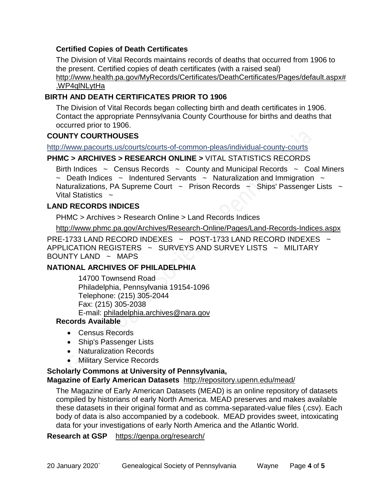# **Certified Copies of Death Certificates**

The Division of Vital Records maintains records of deaths that occurred from 1906 to the present. Certified copies of death certificates (with a raised seal) http://www.health.pa.gov/MyRecords/Certificates/DeathCertificates/Pages/default.aspx# .WP4qlNLytHa

#### **BIRTH AND DEATH CERTIFICATES PRIOR TO 1906**

The Division of Vital Records began collecting birth and death certificates in 1906. Contact the appropriate Pennsylvania County Courthouse for births and deaths that occurred prior to 1906.

#### **COUNTY COURTHOUSES**

<http://www.pacourts.us/courts/courts-of-common-pleas/individual-county-courts>

#### **PHMC > ARCHIVES > RESEARCH ONLINE >** [VITAL STATISTICS RECORDS](http://www.phmc.pa.gov/Archives/Research-Online/Pages/Vital-Statistics.aspx)

Birth Indices  $\sim$  Census Records  $\sim$  County and Municipal Records  $\sim$  Coal Miners  $\sim$  Death Indices  $\sim$  Indentured Servants  $\sim$  Naturalization and Immigration  $\sim$ Naturalizations, PA Supreme Court  $\sim$  Prison Records  $\sim$  Ships' Passenger Lists  $\sim$ Vital Statistics  $\sim$ 

#### **LAND RECORDS INDICES**

PHMC > Archives > Research Online > Land Records Indices

<http://www.phmc.pa.gov/Archives/Research-Online/Pages/Land-Records-Indices.aspx>

PRE-1733 LAND RECORD INDEXES ~ POST-1733 LAND RECORD INDEXES ~ APPLICATION REGISTERS ~ SURVEYS AND SURVEY LISTS ~ MILITARY BOUNTY LAND  $\sim$  MAPS

#### **NATIONAL ARCHIVES OF PHILADELPHIA**

14700 Townsend Road Philadelphia, Pennsylvania 19154-1096 Telephone: (215) 305-2044 Fax: (215) 305-2038 E-mail: [philadelphia.archives@nara.gov](mailto:philadelphia.archives@nara.gov)

#### **Records Available**

- Census Records
- Ship's Passenger Lists
- Naturalization Records
- **Military Service Records**

#### **Scholarly Commons at University of Pennsylvania,**

#### **Magazine of Early American Datasets** <http://repository.upenn.edu/mead/>

The Magazine of Early American Datasets (MEAD) is an online repository of datasets compiled by historians of early North America. MEAD preserves and makes available these datasets in their original format and as comma-separated-value files (.csv). Each body of data is also accompanied by a codebook. MEAD provides sweet, intoxicating data for your investigations of early North America and the Atlantic World.

#### **Research at GSP** <https://genpa.org/research/>